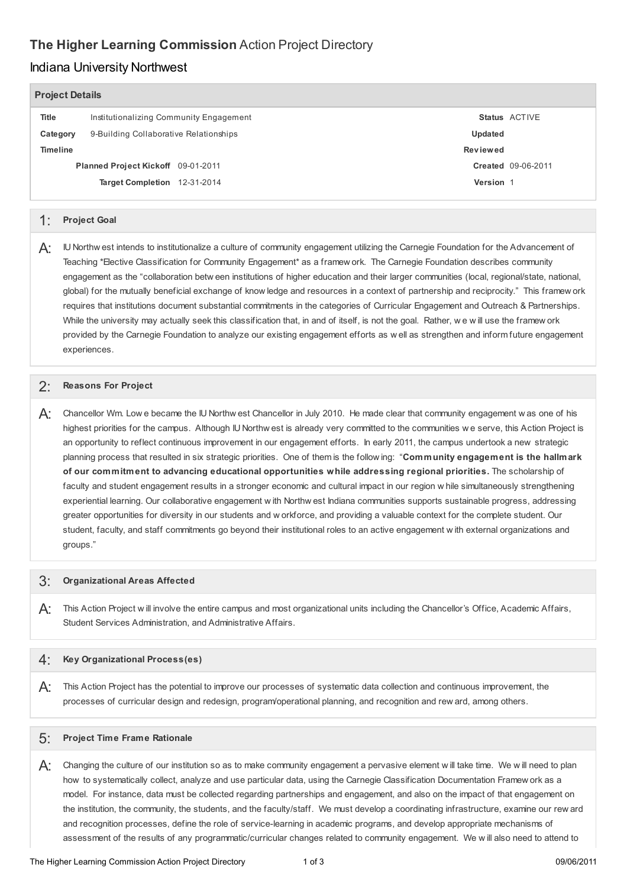# **The Higher Learning Commission** Action Project Directory

#### Indiana University Northwest

| <b>Project Details</b>             |                                         |                           |
|------------------------------------|-----------------------------------------|---------------------------|
| Title                              | Institutionalizing Community Engagement | <b>Status ACTIVE</b>      |
| Category                           | 9-Building Collaborative Relationships  | Updated                   |
| <b>Timeline</b>                    |                                         | Reviewed                  |
| Planned Project Kickoff 09-01-2011 |                                         | <b>Created 09-06-2011</b> |
|                                    | Target Completion 12-31-2014            | Version 1                 |
|                                    |                                         |                           |

#### 1: **Project Goal**

 $\bm{\mathsf{A}}$ :  $\;\;$  IU Northw est intends to institutionalize a culture of community engagement utilizing the Carnegie Foundation for the Advancement of Teaching \*Elective Classification for Community Engagement\* as a framew ork. The Carnegie Foundation describes community engagement as the "collaboration betw een institutions of higher education and their larger communities (local, regional/state, national, global) for the mutually beneficial exchange of know ledge and resources in a context of partnership and reciprocity." This framew ork requires that institutions document substantial commitments in the categories of Curricular Engagement and Outreach & Partnerships. While the university may actually seek this classification that, in and of itself, is not the goal. Rather, w e w ill use the framew ork provided by the Carnegie Foundation to analyze our existing engagement efforts as w ell as strengthen and inform future engagement experiences.

## 2: **Reasons For Project**

 $A$ : Chancellor Wm. Low e became the IU Northw est Chancellor in July 2010. He made clear that community engagement w as one of his highest priorities for the campus. Although IU Northw est is already very committed to the communities w e serve, this Action Project is an opportunity to reflect continuous improvement in our engagement efforts. In early 2011, the campus undertook a new strategic planning process that resulted in six strategic priorities. One of them is the follow ing: "**Community engagement is the hallmark of our commitment to advancing educational opportunities while addressing regional priorities.** The scholarship of faculty and student engagement results in a stronger economic and cultural impact in our region w hile simultaneously strengthening experiential learning. Our collaborative engagement w ith Northw est Indiana communities supports sustainable progress, addressing greater opportunities for diversity in our students and w orkforce, and providing a valuable context for the complete student. Our student, faculty, and staff commitments go beyond their institutional roles to an active engagement w ith external organizations and groups."

## 3: **Organizational Areas Affected**

 $A$ : This Action Project w ill involve the entire campus and most organizational units including the Chancellor's Office, Academic Affairs, Student Services Administration, and Administrative Affairs.

#### 4: **Key Organizational Process(es)**

 $A$ : This Action Project has the potential to improve our processes of systematic data collection and continuous improvement, the processes of curricular design and redesign, program/operational planning, and recognition and rew ard, among others.

## 5: **Project Time Frame Rationale**

 $A$ : Changing the culture of our institution so as to make community engagement a pervasive element w ill take time. We w ill need to plan how to systematically collect, analyze and use particular data, using the Carnegie Classification Documentation Framew ork as a model. For instance, data must be collected regarding partnerships and engagement, and also on the impact of that engagement on the institution, the community, the students, and the faculty/staff. We must develop a coordinating infrastructure, examine our rew ard and recognition processes, define the role of service-learning in academic programs, and develop appropriate mechanisms of assessment of the results of any programmatic/curricular changes related to community engagement. We w ill also need to attend to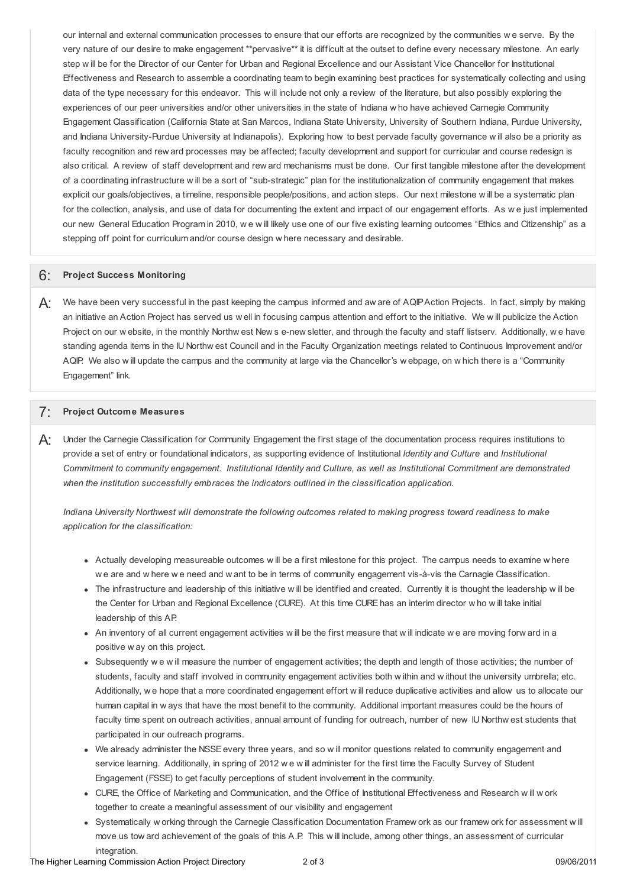our internal and external communication processes to ensure that our efforts are recognized by the communities w e serve. By the very nature of our desire to make engagement \*\*pervasive\*\* it is difficult at the outset to define every necessary milestone. An early step w ill be for the Director of our Center for Urban and Regional Excellence and our Assistant Vice Chancellor for Institutional Effectiveness and Research to assemble a coordinating team to begin examining best practices for systematically collecting and using data of the type necessary for this endeavor. This w ill include not only a review of the literature, but also possibly exploring the experiences of our peer universities and/or other universities in the state of Indiana w ho have achieved Carnegie Community Engagement Classification (California State at San Marcos, Indiana State University, University of Southern Indiana, Purdue University, and Indiana University-Purdue University at Indianapolis). Exploring how to best pervade faculty governance w ill also be a priority as faculty recognition and rew ard processes may be affected; faculty development and support for curricular and course redesign is also critical. A review of staff development and rew ard mechanisms must be done. Our first tangible milestone after the development of a coordinating infrastructure w ill be a sort of "sub-strategic" plan for the institutionalization of community engagement that makes explicit our goals/objectives, a timeline, responsible people/positions, and action steps. Our next milestone w ill be a systematic plan for the collection, analysis, and use of data for documenting the extent and impact of our engagement efforts. As w e just implemented our new General Education Program in 2010, w e w ill likely use one of our five existing learning outcomes "Ethics and Citizenship" as a stepping off point for curriculum and/or course design w here necessary and desirable.

## 6: **Project Success Monitoring**

 $\bm{\mathsf{A}}$ : We have been very successful in the past keeping the campus informed and aw are of AQIPAction Projects. In fact, simply by making an initiative an Action Project has served us w ell in focusing campus attention and effort to the initiative. We w ill publicize the Action Project on our w ebsite, in the monthly Northw est New s e-new sletter, and through the faculty and staff listserv. Additionally, w e have standing agenda items in the IU Northw est Council and in the Faculty Organization meetings related to Continuous Improvement and/or AQIP. We also w ill update the campus and the community at large via the Chancellor's w ebpage, on w hich there is a "Community Engagement" link.

## 7: **Project Outcome Measures**

 $\bm{\mathsf{A}}$ : Under the Carnegie Classification for Community Engagement the first stage of the documentation process requires institutions to provide a set of entry or foundational indicators, as supporting evidence of Institutional *Identity and Culture* and *Institutional* Commitment to community engagement. Institutional Identity and Culture, as well as Institutional Commitment are demonstrated  *when the institution successfully embraces the indicators outlined in the classification application.*

Indiana University Northwest will demonstrate the following outcomes related to making progress toward readiness to make  *application for the classification:*

- Actually developing measureable outcomes w ill be a first milestone for this project. The campus needs to examine w here w e are and w here w e need and w ant to be in terms of community engagement vis-à-vis the Carnagie Classification.
- The infrastructure and leadership of this initiative w ill be identified and created. Currently it is thought the leadership w ill be the Center for Urban and Regional Excellence (CURE). At this time CURE has an interim director w ho w ill take initial leadership of this AP.
- An inventory of all current engagement activities w ill be the first measure that w ill indicate w e are moving forw ard in a positive w ay on this project.
- Subsequently w e w ill measure the number of engagement activities; the depth and length of those activities; the number of students, faculty and staff involved in community engagement activities both w ithin and w ithout the university umbrella; etc. Additionally, w e hope that a more coordinated engagement effort w ill reduce duplicative activities and allow us to allocate our human capital in w ays that have the most benefit to the community. Additional important measures could be the hours of faculty time spent on outreach activities, annual amount of funding for outreach, number of new IU Northw est students that participated in our outreach programs.
- We already administer the NSSEevery three years, and so w ill monitor questions related to community engagement and service learning. Additionally, in spring of 2012 w e w ill administer for the first time the Faculty Survey of Student Engagement (FSSE) to get faculty perceptions of student involvement in the community.
- CURE, the Office of Marketing and Communication, and the Office of Institutional Effectiveness and Research w ill w ork together to create a meaningful assessment of our visibility and engagement
- Systematically w orking through the Carnegie Classification Documentation Framew ork as our framew ork for assessment w ill move us tow ard achievement of the goals of this A.P. This w ill include, among other things, an assessment of curricular integration.